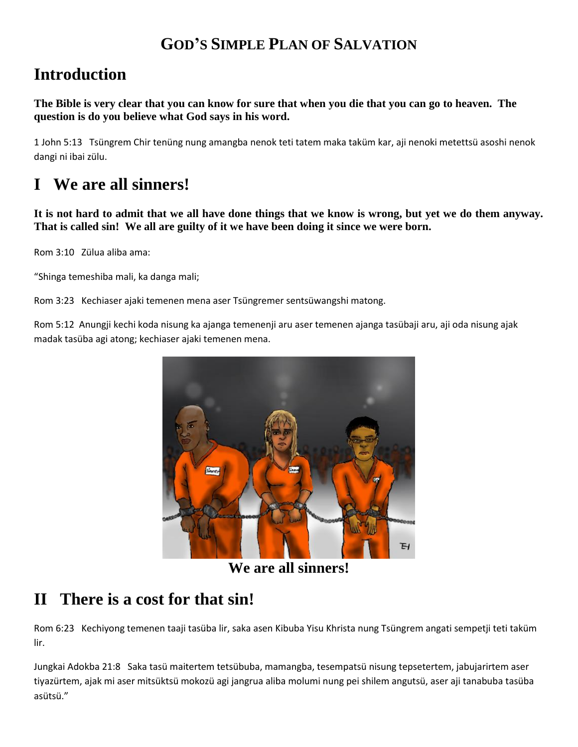## **GOD'S SIMPLE PLAN OF SALVATION**

# **Introduction**

**The Bible is very clear that you can know for sure that when you die that you can go to heaven. The question is do you believe what God says in his word.**

1 John 5:13 Tsüngrem Chir tenüng nung amangba nenok teti tatem maka taküm kar, aji nenoki metettsü asoshi nenok dangi ni ibai zülu.

# **I We are all sinners!**

**It is not hard to admit that we all have done things that we know is wrong, but yet we do them anyway. That is called sin! We all are guilty of it we have been doing it since we were born.**

Rom 3:10 Zülua aliba ama:

"Shinga temeshiba mali, ka danga mali;

Rom 3:23 Kechiaser ajaki temenen mena aser Tsüngremer sentsüwangshi matong.

Rom 5:12 Anungji kechi koda nisung ka ajanga temenenji aru aser temenen ajanga tasübaji aru, aji oda nisung ajak madak tasüba agi atong; kechiaser ajaki temenen mena.



**We are all sinners!**

## **II There is a cost for that sin!**

Rom 6:23 Kechiyong temenen taaji tasüba lir, saka asen Kibuba Yisu Khrista nung Tsüngrem angati sempetji teti taküm lir.

Jungkai Adokba 21:8 Saka tasü maitertem tetsübuba, mamangba, tesempatsü nisung tepsetertem, jabujarirtem aser tiyazürtem, ajak mi aser mitsüktsü mokozü agi jangrua aliba molumi nung pei shilem angutsü, aser aji tanabuba tasüba asütsü."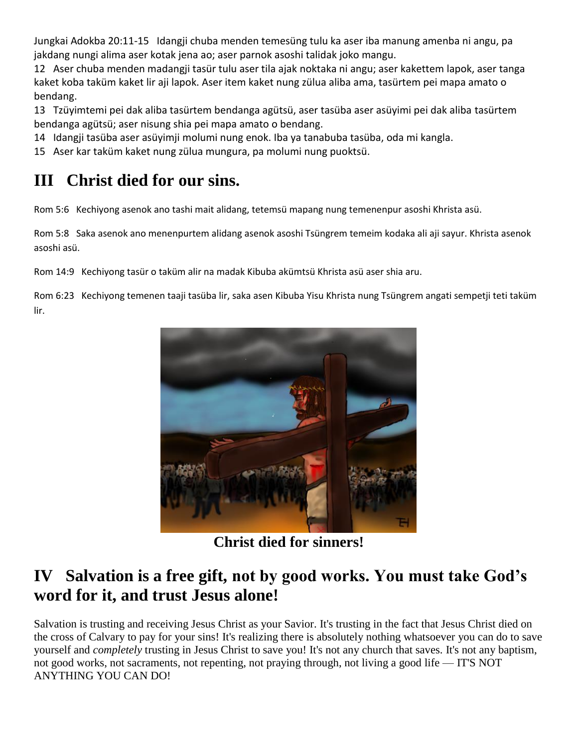Jungkai Adokba 20:11-15 Idangji chuba menden temesüng tulu ka aser iba manung amenba ni angu, pa jakdang nungi alima aser kotak jena ao; aser parnok asoshi talidak joko mangu.

12 Aser chuba menden madangji tasür tulu aser tila ajak noktaka ni angu; aser kakettem lapok, aser tanga kaket koba taküm kaket lir aji lapok. Aser item kaket nung zülua aliba ama, tasürtem pei mapa amato o bendang.

13 Tzüyimtemi pei dak aliba tasürtem bendanga agütsü, aser tasüba aser asüyimi pei dak aliba tasürtem bendanga agütsü; aser nisung shia pei mapa amato o bendang.

- 14 Idangji tasüba aser asüyimji molumi nung enok. Iba ya tanabuba tasüba, oda mi kangla.
- 15 Aser kar taküm kaket nung zülua mungura, pa molumi nung puoktsü.

## **III Christ died for our sins.**

Rom 5:6 Kechiyong asenok ano tashi mait alidang, tetemsü mapang nung temenenpur asoshi Khrista asü.

Rom 5:8 Saka asenok ano menenpurtem alidang asenok asoshi Tsüngrem temeim kodaka ali aji sayur. Khrista asenok asoshi asü.

Rom 14:9 Kechiyong tasür o taküm alir na madak Kibuba akümtsü Khrista asü aser shia aru.

Rom 6:23 Kechiyong temenen taaji tasüba lir, saka asen Kibuba Yisu Khrista nung Tsüngrem angati sempetji teti taküm lir.



**Christ died for sinners!**

## **IV Salvation is a free gift, not by good works. You must take God's word for it, and trust Jesus alone!**

Salvation is trusting and receiving Jesus Christ as your Savior. It's trusting in the fact that Jesus Christ died on the cross of Calvary to pay for your sins! It's realizing there is absolutely nothing whatsoever you can do to save yourself and *completely* trusting in Jesus Christ to save you! It's not any church that saves. It's not any baptism, not good works, not sacraments, not repenting, not praying through, not living a good life — IT'S NOT ANYTHING YOU CAN DO!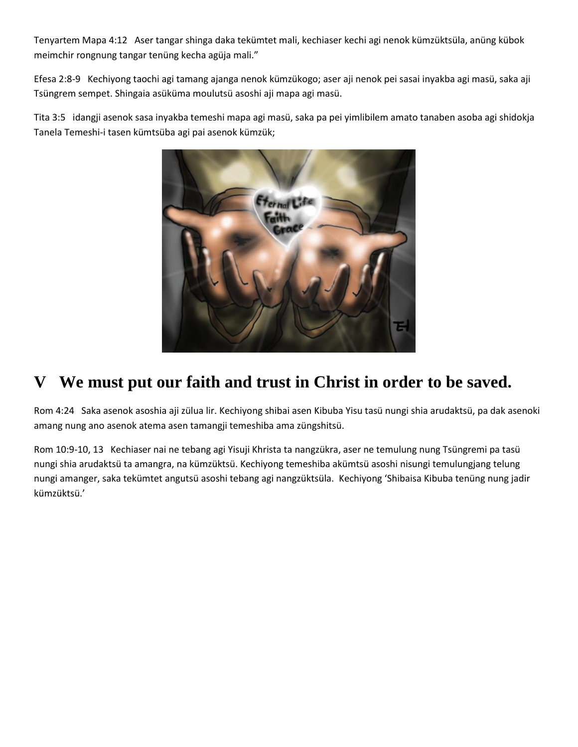Tenyartem Mapa 4:12 Aser tangar shinga daka tekümtet mali, kechiaser kechi agi nenok kümzüktsüla, anüng kübok meimchir rongnung tangar tenüng kecha agüja mali."

Efesa 2:8-9 Kechiyong taochi agi tamang ajanga nenok kümzükogo; aser aji nenok pei sasai inyakba agi masü, saka aji Tsüngrem sempet. Shingaia asüküma moulutsü asoshi aji mapa agi masü.

Tita 3:5 idangji asenok sasa inyakba temeshi mapa agi masü, saka pa pei yimlibilem amato tanaben asoba agi shidokja Tanela Temeshi-i tasen kümtsüba agi pai asenok kümzük;



# **V We must put our faith and trust in Christ in order to be saved.**

Rom 4:24 Saka asenok asoshia aji zülua lir. Kechiyong shibai asen Kibuba Yisu tasü nungi shia arudaktsü, pa dak asenoki amang nung ano asenok atema asen tamangji temeshiba ama züngshitsü.

Rom 10:9-10, 13 Kechiaser nai ne tebang agi Yisuji Khrista ta nangzükra, aser ne temulung nung Tsüngremi pa tasü nungi shia arudaktsü ta amangra, na kümzüktsü. Kechiyong temeshiba akümtsü asoshi nisungi temulungjang telung nungi amanger, saka tekümtet angutsü asoshi tebang agi nangzüktsüla. Kechiyong 'Shibaisa Kibuba tenüng nung jadir kümzüktsü.'